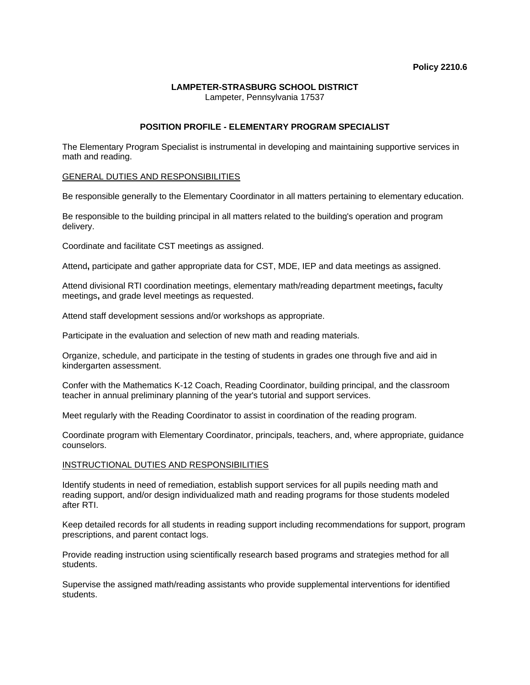# **LAMPETER-STRASBURG SCHOOL DISTRICT**

Lampeter, Pennsylvania 17537

# **POSITION PROFILE - ELEMENTARY PROGRAM SPECIALIST**

The Elementary Program Specialist is instrumental in developing and maintaining supportive services in math and reading.

### GENERAL DUTIES AND RESPONSIBILITIES

Be responsible generally to the Elementary Coordinator in all matters pertaining to elementary education.

Be responsible to the building principal in all matters related to the building's operation and program delivery.

Coordinate and facilitate CST meetings as assigned.

Attend**,** participate and gather appropriate data for CST, MDE, IEP and data meetings as assigned.

Attend divisional RTI coordination meetings, elementary math/reading department meetings**,** faculty meetings**,** and grade level meetings as requested.

Attend staff development sessions and/or workshops as appropriate.

Participate in the evaluation and selection of new math and reading materials.

Organize, schedule, and participate in the testing of students in grades one through five and aid in kindergarten assessment.

Confer with the Mathematics K-12 Coach, Reading Coordinator, building principal, and the classroom teacher in annual preliminary planning of the year's tutorial and support services.

Meet regularly with the Reading Coordinator to assist in coordination of the reading program.

Coordinate program with Elementary Coordinator, principals, teachers, and, where appropriate, guidance counselors.

# INSTRUCTIONAL DUTIES AND RESPONSIBILITIES

Identify students in need of remediation, establish support services for all pupils needing math and reading support, and/or design individualized math and reading programs for those students modeled after RTI.

Keep detailed records for all students in reading support including recommendations for support, program prescriptions, and parent contact logs.

Provide reading instruction using scientifically research based programs and strategies method for all students.

Supervise the assigned math/reading assistants who provide supplemental interventions for identified students.